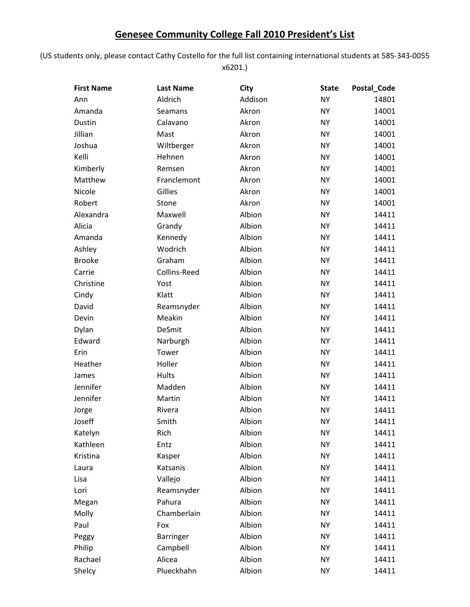## **Genesee Community College Fall 2010 President's List**

(US students only, please contact Cathy Costello for the full list containing international students at 585‐343‐0055 x6201.)

| <b>First Name</b> | <b>Last Name</b> | City    | <b>State</b> | Postal_Code |
|-------------------|------------------|---------|--------------|-------------|
| Ann               | Aldrich          | Addison | <b>NY</b>    | 14801       |
| Amanda            | Seamans          | Akron   | <b>NY</b>    | 14001       |
| Dustin            | Calavano         | Akron   | <b>NY</b>    | 14001       |
| Jillian           | Mast             | Akron   | <b>NY</b>    | 14001       |
| Joshua            | Wiltberger       | Akron   | <b>NY</b>    | 14001       |
| Kelli             | Hehnen           | Akron   | <b>NY</b>    | 14001       |
| Kimberly          | Remsen           | Akron   | <b>NY</b>    | 14001       |
| Matthew           | Franclemont      | Akron   | <b>NY</b>    | 14001       |
| Nicole            | Gillies          | Akron   | <b>NY</b>    | 14001       |
| Robert            | Stone            | Akron   | <b>NY</b>    | 14001       |
| Alexandra         | Maxwell          | Albion  | <b>NY</b>    | 14411       |
| Alicia            | Grandy           | Albion  | <b>NY</b>    | 14411       |
| Amanda            | Kennedy          | Albion  | <b>NY</b>    | 14411       |
| Ashley            | Wodrich          | Albion  | <b>NY</b>    | 14411       |
| <b>Brooke</b>     | Graham           | Albion  | <b>NY</b>    | 14411       |
| Carrie            | Collins-Reed     | Albion  | <b>NY</b>    | 14411       |
| Christine         | Yost             | Albion  | <b>NY</b>    | 14411       |
| Cindy             | Klatt            | Albion  | <b>NY</b>    | 14411       |
| David             | Reamsnyder       | Albion  | <b>NY</b>    | 14411       |
| Devin             | Meakin           | Albion  | <b>NY</b>    | 14411       |
| Dylan             | DeSmit           | Albion  | <b>NY</b>    | 14411       |
| Edward            | Narburgh         | Albion  | <b>NY</b>    | 14411       |
| Erin              | Tower            | Albion  | <b>NY</b>    | 14411       |
| Heather           | Holler           | Albion  | <b>NY</b>    | 14411       |
| James             | Hults            | Albion  | <b>NY</b>    | 14411       |
| Jennifer          | Madden           | Albion  | <b>NY</b>    | 14411       |
| Jennifer          | Martin           | Albion  | <b>NY</b>    | 14411       |
| Jorge             | Rivera           | Albion  | <b>NY</b>    | 14411       |
| Joseff            | Smith            | Albion  | <b>NY</b>    | 14411       |
| Katelyn           | Rich             | Albion  | <b>NY</b>    | 14411       |
| Kathleen          | Entz             | Albion  | <b>NY</b>    | 14411       |
| Kristina          | Kasper           | Albion  | <b>NY</b>    | 14411       |
| Laura             | Katsanis         | Albion  | <b>NY</b>    | 14411       |
| Lisa              | Vallejo          | Albion  | <b>NY</b>    | 14411       |
| Lori              | Reamsnyder       | Albion  | <b>NY</b>    | 14411       |
| Megan             | Pahura           | Albion  | <b>NY</b>    | 14411       |
| Molly             | Chamberlain      | Albion  | <b>NY</b>    | 14411       |
| Paul              | Fox              | Albion  | <b>NY</b>    | 14411       |
| Peggy             | <b>Barringer</b> | Albion  | <b>NY</b>    | 14411       |
| Philip            | Campbell         | Albion  | <b>NY</b>    | 14411       |
| Rachael           | Alicea           | Albion  | <b>NY</b>    | 14411       |
| Shelcy            | Plueckhahn       | Albion  | <b>NY</b>    | 14411       |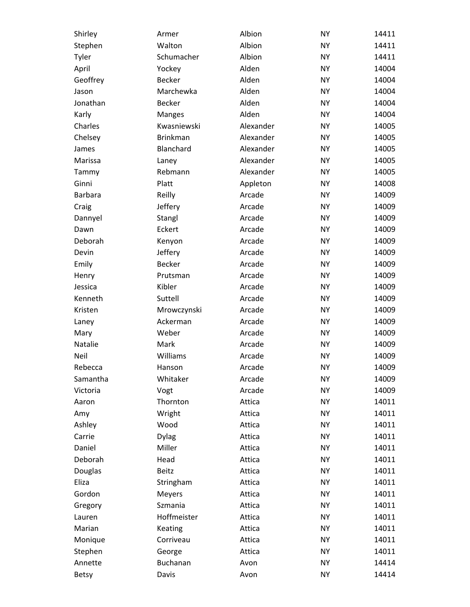| Shirley      | Armer           | Albion    | <b>NY</b> | 14411 |
|--------------|-----------------|-----------|-----------|-------|
| Stephen      | Walton          | Albion    | <b>NY</b> | 14411 |
| Tyler        | Schumacher      | Albion    | <b>NY</b> | 14411 |
| April        | Yockey          | Alden     | <b>NY</b> | 14004 |
| Geoffrey     | <b>Becker</b>   | Alden     | <b>NY</b> | 14004 |
| Jason        | Marchewka       | Alden     | <b>NY</b> | 14004 |
| Jonathan     | <b>Becker</b>   | Alden     | <b>NY</b> | 14004 |
| Karly        | <b>Manges</b>   | Alden     | <b>NY</b> | 14004 |
| Charles      | Kwasniewski     | Alexander | <b>NY</b> | 14005 |
| Chelsey      | <b>Brinkman</b> | Alexander | <b>NY</b> | 14005 |
| James        | Blanchard       | Alexander | <b>NY</b> | 14005 |
| Marissa      | Laney           | Alexander | <b>NY</b> | 14005 |
| Tammy        | Rebmann         | Alexander | <b>NY</b> | 14005 |
| Ginni        | Platt           | Appleton  | <b>NY</b> | 14008 |
| Barbara      | Reilly          | Arcade    | <b>NY</b> | 14009 |
| Craig        | Jeffery         | Arcade    | <b>NY</b> | 14009 |
| Dannyel      | Stangl          | Arcade    | <b>NY</b> | 14009 |
| Dawn         | Eckert          | Arcade    | <b>NY</b> | 14009 |
| Deborah      | Kenyon          | Arcade    | <b>NY</b> | 14009 |
| Devin        | Jeffery         | Arcade    | <b>NY</b> | 14009 |
| Emily        | <b>Becker</b>   | Arcade    | <b>NY</b> | 14009 |
| Henry        | Prutsman        | Arcade    | <b>NY</b> | 14009 |
| Jessica      | Kibler          | Arcade    | <b>NY</b> | 14009 |
| Kenneth      | Suttell         | Arcade    | <b>NY</b> | 14009 |
| Kristen      | Mrowczynski     | Arcade    | <b>NY</b> | 14009 |
| Laney        | Ackerman        | Arcade    | <b>NY</b> | 14009 |
| Mary         | Weber           | Arcade    | <b>NY</b> | 14009 |
| Natalie      | Mark            | Arcade    | <b>NY</b> | 14009 |
| Neil         | Williams        | Arcade    | <b>NY</b> | 14009 |
| Rebecca      | Hanson          | Arcade    | <b>NY</b> | 14009 |
| Samantha     | Whitaker        | Arcade    | <b>NY</b> | 14009 |
| Victoria     | Vogt            | Arcade    | <b>NY</b> | 14009 |
| Aaron        | Thornton        | Attica    | <b>NY</b> | 14011 |
| Amy          | Wright          | Attica    | <b>NY</b> | 14011 |
| Ashley       | Wood            | Attica    | <b>NY</b> | 14011 |
| Carrie       | <b>Dylag</b>    | Attica    | <b>NY</b> | 14011 |
| Daniel       | Miller          | Attica    | <b>NY</b> | 14011 |
| Deborah      | Head            | Attica    | <b>NY</b> | 14011 |
| Douglas      | <b>Beitz</b>    | Attica    | <b>NY</b> | 14011 |
| Eliza        | Stringham       | Attica    | <b>NY</b> | 14011 |
| Gordon       | Meyers          | Attica    | <b>NY</b> | 14011 |
| Gregory      | Szmania         | Attica    | <b>NY</b> | 14011 |
| Lauren       | Hoffmeister     | Attica    | <b>NY</b> | 14011 |
| Marian       | Keating         | Attica    | <b>NY</b> | 14011 |
| Monique      | Corriveau       | Attica    | <b>NY</b> | 14011 |
| Stephen      | George          | Attica    | <b>NY</b> | 14011 |
| Annette      | Buchanan        | Avon      | <b>NY</b> | 14414 |
| <b>Betsy</b> | Davis           | Avon      | <b>NY</b> | 14414 |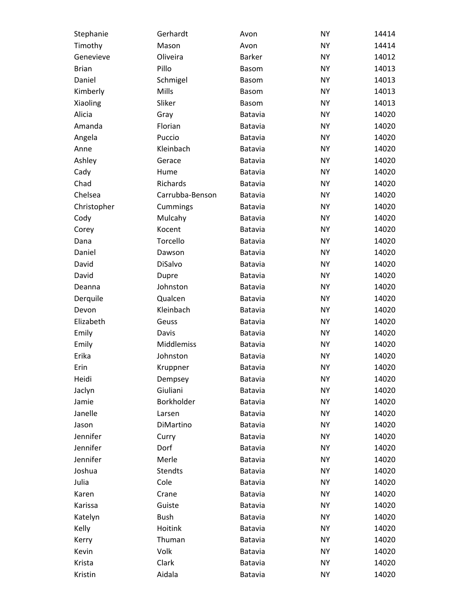| Stephanie    | Gerhardt        | Avon           | <b>NY</b> | 14414 |
|--------------|-----------------|----------------|-----------|-------|
| Timothy      | Mason           | Avon           | <b>NY</b> | 14414 |
| Genevieve    | Oliveira        | <b>Barker</b>  | <b>NY</b> | 14012 |
| <b>Brian</b> | Pillo           | <b>Basom</b>   | <b>NY</b> | 14013 |
| Daniel       | Schmigel        | <b>Basom</b>   | <b>NY</b> | 14013 |
| Kimberly     | Mills           | <b>Basom</b>   | <b>NY</b> | 14013 |
| Xiaoling     | Sliker          | <b>Basom</b>   | <b>NY</b> | 14013 |
| Alicia       | Gray            | Batavia        | <b>NY</b> | 14020 |
| Amanda       | Florian         | <b>Batavia</b> | <b>NY</b> | 14020 |
| Angela       | Puccio          | Batavia        | <b>NY</b> | 14020 |
| Anne         | Kleinbach       | Batavia        | <b>NY</b> | 14020 |
| Ashley       | Gerace          | Batavia        | <b>NY</b> | 14020 |
| Cady         | Hume            | Batavia        | <b>NY</b> | 14020 |
| Chad         | Richards        | Batavia        | <b>NY</b> | 14020 |
| Chelsea      | Carrubba-Benson | Batavia        | <b>NY</b> | 14020 |
| Christopher  | Cummings        | Batavia        | <b>NY</b> | 14020 |
| Cody         | Mulcahy         | Batavia        | <b>NY</b> | 14020 |
| Corey        | Kocent          | Batavia        | <b>NY</b> | 14020 |
| Dana         | Torcello        | Batavia        | <b>NY</b> | 14020 |
| Daniel       | Dawson          | Batavia        | <b>NY</b> | 14020 |
| David        | DiSalvo         | Batavia        | <b>NY</b> | 14020 |
| David        | Dupre           | Batavia        | <b>NY</b> | 14020 |
| Deanna       | Johnston        | Batavia        | <b>NY</b> | 14020 |
| Derquile     | Qualcen         | Batavia        | <b>NY</b> | 14020 |
| Devon        | Kleinbach       | Batavia        | <b>NY</b> | 14020 |
| Elizabeth    | Geuss           | Batavia        | <b>NY</b> | 14020 |
| Emily        | Davis           | Batavia        | <b>NY</b> | 14020 |
| Emily        | Middlemiss      | Batavia        | <b>NY</b> | 14020 |
| Erika        | Johnston        | Batavia        | <b>NY</b> | 14020 |
| Erin         | Kruppner        | <b>Batavia</b> | <b>NY</b> | 14020 |
| Heidi        | Dempsey         | Batavia        | <b>NY</b> | 14020 |
| Jaclyn       | Giuliani        | <b>Batavia</b> | <b>NY</b> | 14020 |
| Jamie        | Borkholder      | Batavia        | <b>NY</b> | 14020 |
| Janelle      | Larsen          | <b>Batavia</b> | <b>NY</b> | 14020 |
| Jason        | DiMartino       | Batavia        | <b>NY</b> | 14020 |
| Jennifer     | Curry           | <b>Batavia</b> | <b>NY</b> | 14020 |
| Jennifer     | Dorf            | Batavia        | <b>NY</b> | 14020 |
| Jennifer     | Merle           | <b>Batavia</b> | <b>NY</b> | 14020 |
| Joshua       | <b>Stendts</b>  | Batavia        | <b>NY</b> | 14020 |
| Julia        | Cole            | <b>Batavia</b> | <b>NY</b> | 14020 |
| Karen        | Crane           | Batavia        | <b>NY</b> | 14020 |
| Karissa      | Guiste          | <b>Batavia</b> | <b>NY</b> | 14020 |
| Katelyn      | <b>Bush</b>     | Batavia        | <b>NY</b> | 14020 |
| Kelly        | Hoitink         | Batavia        | <b>NY</b> | 14020 |
| Kerry        | Thuman          | Batavia        | <b>NY</b> | 14020 |
| Kevin        | Volk            | <b>Batavia</b> | <b>NY</b> | 14020 |
| Krista       | Clark           | Batavia        | <b>NY</b> | 14020 |
| Kristin      | Aidala          | Batavia        | <b>NY</b> | 14020 |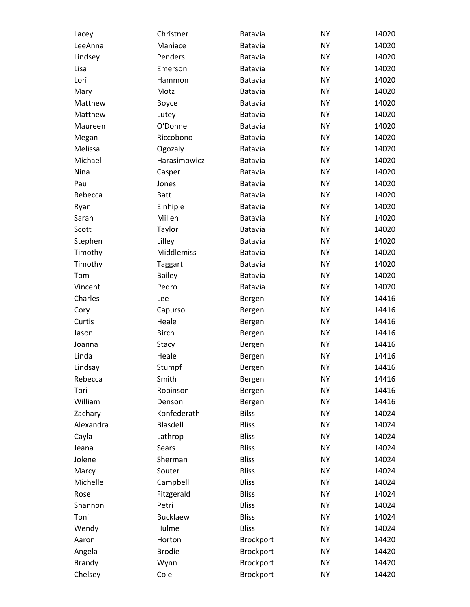| Lacey         | Christner         | <b>Batavia</b>   | <b>NY</b> | 14020 |
|---------------|-------------------|------------------|-----------|-------|
| LeeAnna       | Maniace           | Batavia          | <b>NY</b> | 14020 |
| Lindsey       | Penders           | Batavia          | <b>NY</b> | 14020 |
| Lisa          | Emerson           | Batavia          | <b>NY</b> | 14020 |
| Lori          | Hammon            | Batavia          | <b>NY</b> | 14020 |
| Mary          | Motz              | Batavia          | <b>NY</b> | 14020 |
| Matthew       | Boyce             | Batavia          | <b>NY</b> | 14020 |
| Matthew       | Lutey             | Batavia          | <b>NY</b> | 14020 |
| Maureen       | O'Donnell         | Batavia          | <b>NY</b> | 14020 |
| Megan         | Riccobono         | <b>Batavia</b>   | <b>NY</b> | 14020 |
| Melissa       | Ogozaly           | Batavia          | <b>NY</b> | 14020 |
| Michael       | Harasimowicz      | Batavia          | <b>NY</b> | 14020 |
| Nina          | Casper            | Batavia          | <b>NY</b> | 14020 |
| Paul          | Jones             | Batavia          | <b>NY</b> | 14020 |
| Rebecca       | <b>Batt</b>       | Batavia          | <b>NY</b> | 14020 |
| Ryan          | Einhiple          | Batavia          | <b>NY</b> | 14020 |
| Sarah         | Millen            | Batavia          | <b>NY</b> | 14020 |
| Scott         | Taylor            | Batavia          | <b>NY</b> | 14020 |
| Stephen       | Lilley            | Batavia          | <b>NY</b> | 14020 |
| Timothy       | <b>Middlemiss</b> | Batavia          | <b>NY</b> | 14020 |
| Timothy       | <b>Taggart</b>    | Batavia          | <b>NY</b> | 14020 |
| Tom           | <b>Bailey</b>     | Batavia          | <b>NY</b> | 14020 |
| Vincent       | Pedro             | Batavia          | <b>NY</b> | 14020 |
| Charles       | Lee               | Bergen           | <b>NY</b> | 14416 |
| Cory          | Capurso           | Bergen           | <b>NY</b> | 14416 |
| Curtis        | Heale             | Bergen           | <b>NY</b> | 14416 |
| Jason         | <b>Birch</b>      | Bergen           | <b>NY</b> | 14416 |
| Joanna        | Stacy             | Bergen           | <b>NY</b> | 14416 |
| Linda         | Heale             | Bergen           | <b>NY</b> | 14416 |
| Lindsay       | Stumpf            | Bergen           | <b>NY</b> | 14416 |
| Rebecca       | Smith             | Bergen           | <b>NY</b> | 14416 |
| Tori          | Robinson          | Bergen           | <b>NY</b> | 14416 |
| William       | Denson            | Bergen           | <b>NY</b> | 14416 |
| Zachary       | Konfederath       | <b>Bilss</b>     | <b>NY</b> | 14024 |
| Alexandra     | Blasdell          | <b>Bliss</b>     | <b>NY</b> | 14024 |
| Cayla         | Lathrop           | <b>Bliss</b>     | <b>NY</b> | 14024 |
| Jeana         | <b>Sears</b>      | <b>Bliss</b>     | <b>NY</b> | 14024 |
| Jolene        | Sherman           | <b>Bliss</b>     | <b>NY</b> | 14024 |
| Marcy         | Souter            | <b>Bliss</b>     | <b>NY</b> | 14024 |
| Michelle      |                   | <b>Bliss</b>     | <b>NY</b> | 14024 |
| Rose          | Campbell          | <b>Bliss</b>     | <b>NY</b> |       |
|               | Fitzgerald        |                  |           | 14024 |
| Shannon       | Petri             | <b>Bliss</b>     | <b>NY</b> | 14024 |
| Toni          | <b>Bucklaew</b>   | <b>Bliss</b>     | <b>NY</b> | 14024 |
| Wendy         | Hulme             | <b>Bliss</b>     | <b>NY</b> | 14024 |
| Aaron         | Horton            | <b>Brockport</b> | <b>NY</b> | 14420 |
| Angela        | <b>Brodie</b>     | <b>Brockport</b> | <b>NY</b> | 14420 |
| <b>Brandy</b> | Wynn              | Brockport        | <b>NY</b> | 14420 |
| Chelsey       | Cole              | Brockport        | <b>NY</b> | 14420 |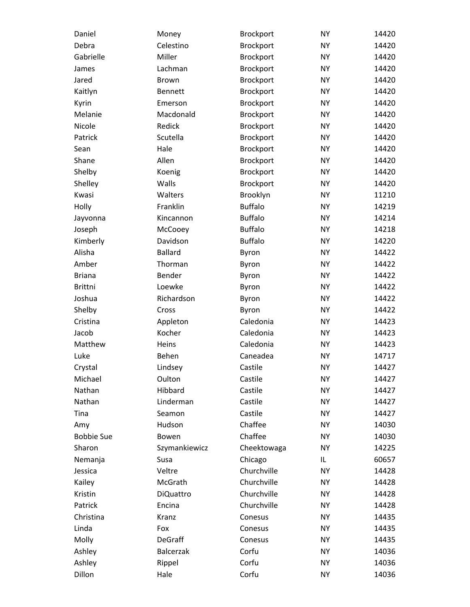| Daniel            | Money            | <b>Brockport</b> | <b>NY</b> | 14420 |
|-------------------|------------------|------------------|-----------|-------|
| Debra             | Celestino        | Brockport        | <b>NY</b> | 14420 |
| Gabrielle         | Miller           | Brockport        | <b>NY</b> | 14420 |
| James             | Lachman          | Brockport        | <b>NY</b> | 14420 |
| Jared             | <b>Brown</b>     | Brockport        | <b>NY</b> | 14420 |
| Kaitlyn           | <b>Bennett</b>   | Brockport        | <b>NY</b> | 14420 |
| Kyrin             | Emerson          | Brockport        | <b>NY</b> | 14420 |
| Melanie           | Macdonald        | <b>Brockport</b> | <b>NY</b> | 14420 |
| Nicole            | Redick           | Brockport        | <b>NY</b> | 14420 |
| Patrick           | Scutella         | Brockport        | <b>NY</b> | 14420 |
| Sean              | Hale             | Brockport        | <b>NY</b> | 14420 |
| Shane             | Allen            | <b>Brockport</b> | <b>NY</b> | 14420 |
| Shelby            | Koenig           | Brockport        | <b>NY</b> | 14420 |
| Shelley           | Walls            | Brockport        | <b>NY</b> | 14420 |
| Kwasi             | Walters          | Brooklyn         | <b>NY</b> | 11210 |
| Holly             | Franklin         | <b>Buffalo</b>   | <b>NY</b> | 14219 |
| Jayvonna          | Kincannon        | <b>Buffalo</b>   | <b>NY</b> | 14214 |
| Joseph            | McCooey          | <b>Buffalo</b>   | <b>NY</b> | 14218 |
| Kimberly          | Davidson         | <b>Buffalo</b>   | <b>NY</b> | 14220 |
| Alisha            | <b>Ballard</b>   | Byron            | <b>NY</b> | 14422 |
| Amber             | Thorman          | Byron            | <b>NY</b> | 14422 |
| <b>Briana</b>     | Bender           | Byron            | <b>NY</b> | 14422 |
| <b>Brittni</b>    | Loewke           | Byron            | <b>NY</b> | 14422 |
| Joshua            | Richardson       | Byron            | <b>NY</b> | 14422 |
| Shelby            | Cross            | Byron            | <b>NY</b> | 14422 |
| Cristina          | Appleton         | Caledonia        | <b>NY</b> | 14423 |
| Jacob             | Kocher           | Caledonia        | <b>NY</b> | 14423 |
| Matthew           | Heins            | Caledonia        | <b>NY</b> | 14423 |
| Luke              | Behen            | Caneadea         | <b>NY</b> | 14717 |
| Crystal           | Lindsey          | Castile          | <b>NY</b> | 14427 |
| Michael           | Oulton           | Castile          | <b>NY</b> | 14427 |
| Nathan            | Hibbard          | Castile          | <b>NY</b> | 14427 |
| Nathan            | Linderman        | Castile          | <b>NY</b> | 14427 |
| Tina              | Seamon           | Castile          | <b>NY</b> | 14427 |
| Amy               | Hudson           | Chaffee          | <b>NY</b> | 14030 |
| <b>Bobbie Sue</b> | Bowen            | Chaffee          | <b>NY</b> | 14030 |
| Sharon            | Szymankiewicz    | Cheektowaga      | <b>NY</b> | 14225 |
| Nemanja           | Susa             | Chicago          | IL        | 60657 |
| Jessica           | Veltre           | Churchville      | <b>NY</b> | 14428 |
| Kailey            | McGrath          | Churchville      | <b>NY</b> | 14428 |
| Kristin           | <b>DiQuattro</b> | Churchville      | <b>NY</b> | 14428 |
| Patrick           | Encina           | Churchville      | <b>NY</b> | 14428 |
| Christina         | Kranz            | Conesus          | <b>NY</b> | 14435 |
| Linda             | Fox              | Conesus          | <b>NY</b> | 14435 |
| Molly             | <b>DeGraff</b>   | Conesus          | <b>NY</b> | 14435 |
| Ashley            | <b>Balcerzak</b> | Corfu            | <b>NY</b> | 14036 |
| Ashley            | Rippel           | Corfu            | <b>NY</b> | 14036 |
| Dillon            | Hale             | Corfu            | <b>NY</b> | 14036 |
|                   |                  |                  |           |       |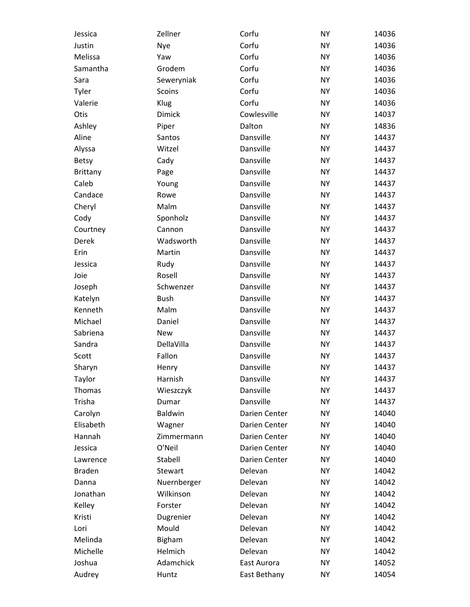| Jessica         | Zellner        | Corfu         | <b>NY</b> | 14036 |
|-----------------|----------------|---------------|-----------|-------|
| Justin          | Nye            | Corfu         | <b>NY</b> | 14036 |
| Melissa         | Yaw            | Corfu         | <b>NY</b> | 14036 |
| Samantha        | Grodem         | Corfu         | <b>NY</b> | 14036 |
| Sara            | Seweryniak     | Corfu         | <b>NY</b> | 14036 |
| Tyler           | Scoins         | Corfu         | <b>NY</b> | 14036 |
| Valerie         | Klug           | Corfu         | <b>NY</b> | 14036 |
| Otis            | <b>Dimick</b>  | Cowlesville   | <b>NY</b> | 14037 |
| Ashley          | Piper          | Dalton        | <b>NY</b> | 14836 |
| Aline           | Santos         | Dansville     | <b>NY</b> | 14437 |
| Alyssa          | Witzel         | Dansville     | <b>NY</b> | 14437 |
| Betsy           | Cady           | Dansville     | <b>NY</b> | 14437 |
| <b>Brittany</b> | Page           | Dansville     | <b>NY</b> | 14437 |
| Caleb           | Young          | Dansville     | <b>NY</b> | 14437 |
| Candace         | Rowe           | Dansville     | <b>NY</b> | 14437 |
| Cheryl          | Malm           | Dansville     | <b>NY</b> | 14437 |
| Cody            | Sponholz       | Dansville     | <b>NY</b> | 14437 |
| Courtney        | Cannon         | Dansville     | <b>NY</b> | 14437 |
| Derek           | Wadsworth      | Dansville     | <b>NY</b> | 14437 |
| Erin            | Martin         | Dansville     | <b>NY</b> | 14437 |
| Jessica         | Rudy           | Dansville     | <b>NY</b> | 14437 |
| Joie            | Rosell         | Dansville     | <b>NY</b> | 14437 |
| Joseph          | Schwenzer      | Dansville     | <b>NY</b> | 14437 |
| Katelyn         | <b>Bush</b>    | Dansville     | <b>NY</b> | 14437 |
| Kenneth         | Malm           | Dansville     | <b>NY</b> | 14437 |
| Michael         | Daniel         | Dansville     | <b>NY</b> | 14437 |
| Sabriena        | <b>New</b>     | Dansville     | <b>NY</b> | 14437 |
| Sandra          | DellaVilla     | Dansville     | <b>NY</b> | 14437 |
| Scott           | Fallon         | Dansville     | <b>NY</b> | 14437 |
| Sharyn          | Henry          | Dansville     | <b>NY</b> | 14437 |
| Taylor          | Harnish        | Dansville     | NΥ        | 14437 |
| Thomas          | Wieszczyk      | Dansville     | <b>NY</b> | 14437 |
| Trisha          | Dumar          | Dansville     | <b>NY</b> | 14437 |
| Carolyn         | <b>Baldwin</b> | Darien Center | <b>NY</b> | 14040 |
| Elisabeth       | Wagner         | Darien Center | <b>NY</b> | 14040 |
| Hannah          | Zimmermann     | Darien Center | <b>NY</b> | 14040 |
| Jessica         | O'Neil         | Darien Center | <b>NY</b> | 14040 |
| Lawrence        | Stabell        | Darien Center | <b>NY</b> | 14040 |
| <b>Braden</b>   | Stewart        | Delevan       | <b>NY</b> | 14042 |
| Danna           | Nuernberger    | Delevan       | <b>NY</b> | 14042 |
| Jonathan        | Wilkinson      | Delevan       | <b>NY</b> | 14042 |
| Kelley          | Forster        | Delevan       | <b>NY</b> | 14042 |
| Kristi          | Dugrenier      | Delevan       | <b>NY</b> | 14042 |
| Lori            | Mould          | Delevan       | <b>NY</b> | 14042 |
| Melinda         | <b>Bigham</b>  | Delevan       | <b>NY</b> | 14042 |
| Michelle        | Helmich        | Delevan       | <b>NY</b> | 14042 |
| Joshua          | Adamchick      | East Aurora   | <b>NY</b> | 14052 |
| Audrey          | Huntz          | East Bethany  | <b>NY</b> | 14054 |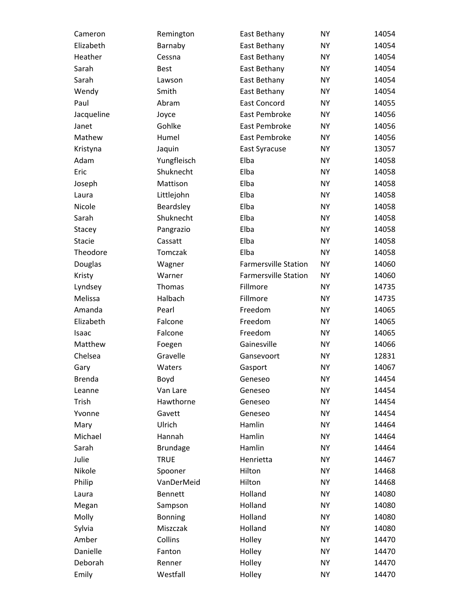| Cameron       | Remington       | East Bethany                | <b>NY</b> | 14054 |
|---------------|-----------------|-----------------------------|-----------|-------|
| Elizabeth     | Barnaby         | East Bethany                | <b>NY</b> | 14054 |
| Heather       | Cessna          | East Bethany                | <b>NY</b> | 14054 |
| Sarah         | <b>Best</b>     | East Bethany                | <b>NY</b> | 14054 |
| Sarah         | Lawson          | East Bethany                | <b>NY</b> | 14054 |
| Wendy         | Smith           | East Bethany                | <b>NY</b> | 14054 |
| Paul          | Abram           | <b>East Concord</b>         | <b>NY</b> | 14055 |
| Jacqueline    | Joyce           | East Pembroke               | <b>NY</b> | 14056 |
| Janet         | Gohlke          | East Pembroke               | <b>NY</b> | 14056 |
| Mathew        | Humel           | East Pembroke               | <b>NY</b> | 14056 |
| Kristyna      | Jaquin          | East Syracuse               | <b>NY</b> | 13057 |
| Adam          | Yungfleisch     | Elba                        | <b>NY</b> | 14058 |
| Eric          | Shuknecht       | Elba                        | <b>NY</b> | 14058 |
| Joseph        | Mattison        | Elba                        | <b>NY</b> | 14058 |
| Laura         | Littlejohn      | Elba                        | <b>NY</b> | 14058 |
| Nicole        | Beardsley       | Elba                        | <b>NY</b> | 14058 |
| Sarah         | Shuknecht       | Elba                        | <b>NY</b> | 14058 |
| Stacey        | Pangrazio       | Elba                        | <b>NY</b> | 14058 |
| <b>Stacie</b> | Cassatt         | Elba                        | <b>NY</b> | 14058 |
| Theodore      | Tomczak         | Elba                        | <b>NY</b> | 14058 |
| Douglas       | Wagner          | <b>Farmersville Station</b> | <b>NY</b> | 14060 |
| Kristy        | Warner          | <b>Farmersville Station</b> | <b>NY</b> | 14060 |
| Lyndsey       | Thomas          | Fillmore                    | <b>NY</b> | 14735 |
| Melissa       | Halbach         | Fillmore                    | <b>NY</b> | 14735 |
| Amanda        | Pearl           | Freedom                     | <b>NY</b> | 14065 |
| Elizabeth     | Falcone         | Freedom                     | <b>NY</b> | 14065 |
| Isaac         | Falcone         | Freedom                     | <b>NY</b> | 14065 |
| Matthew       | Foegen          | Gainesville                 | <b>NY</b> | 14066 |
| Chelsea       | Gravelle        | Gansevoort                  | <b>NY</b> | 12831 |
| Gary          | Waters          | Gasport                     | <b>NY</b> | 14067 |
| <b>Brenda</b> | Boyd            | Geneseo                     | <b>NY</b> | 14454 |
| Leanne        | Van Lare        | Geneseo                     | <b>NY</b> | 14454 |
| Trish         | Hawthorne       | Geneseo                     | <b>NY</b> | 14454 |
| Yvonne        | Gavett          | Geneseo                     | <b>NY</b> | 14454 |
| Mary          | Ulrich          | Hamlin                      | <b>NY</b> | 14464 |
| Michael       | Hannah          | Hamlin                      | <b>NY</b> | 14464 |
| Sarah         | <b>Brundage</b> | Hamlin                      | <b>NY</b> | 14464 |
| Julie         | <b>TRUE</b>     | Henrietta                   | <b>NY</b> | 14467 |
| Nikole        | Spooner         | Hilton                      | <b>NY</b> | 14468 |
| Philip        | VanDerMeid      | Hilton                      | <b>NY</b> | 14468 |
| Laura         | <b>Bennett</b>  | Holland                     | <b>NY</b> | 14080 |
| Megan         | Sampson         | Holland                     | <b>NY</b> | 14080 |
| Molly         | Bonning         | Holland                     | <b>NY</b> | 14080 |
| Sylvia        | Miszczak        | Holland                     | <b>NY</b> | 14080 |
| Amber         | Collins         | Holley                      | <b>NY</b> | 14470 |
| Danielle      | Fanton          | Holley                      | <b>NY</b> | 14470 |
| Deborah       | Renner          | Holley                      | <b>NY</b> | 14470 |
| Emily         | Westfall        | Holley                      | <b>NY</b> | 14470 |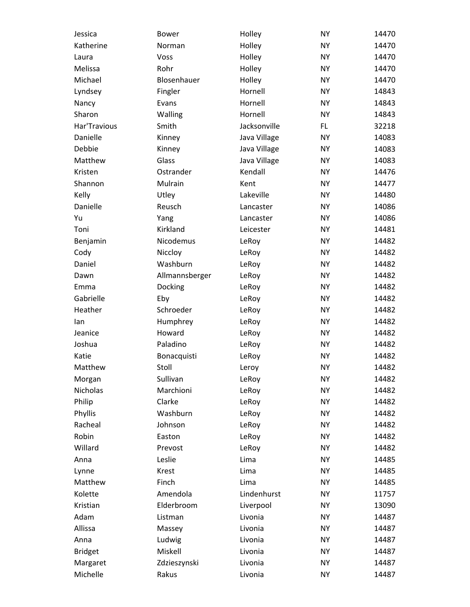| Jessica        | <b>Bower</b>   | Holley       | <b>NY</b> | 14470 |
|----------------|----------------|--------------|-----------|-------|
| Katherine      | Norman         | Holley       | <b>NY</b> | 14470 |
| Laura          | Voss           | Holley       | <b>NY</b> | 14470 |
| Melissa        | Rohr           | Holley       | <b>NY</b> | 14470 |
| Michael        | Blosenhauer    | Holley       | <b>NY</b> | 14470 |
| Lyndsey        | Fingler        | Hornell      | <b>NY</b> | 14843 |
| Nancy          | Evans          | Hornell      | <b>NY</b> | 14843 |
| Sharon         | Walling        | Hornell      | <b>NY</b> | 14843 |
| Har'Travious   | Smith          | Jacksonville | <b>FL</b> | 32218 |
| Danielle       | Kinney         | Java Village | <b>NY</b> | 14083 |
| Debbie         | Kinney         | Java Village | <b>NY</b> | 14083 |
| Matthew        | Glass          | Java Village | <b>NY</b> | 14083 |
| Kristen        | Ostrander      | Kendall      | <b>NY</b> | 14476 |
| Shannon        | Mulrain        | Kent         | <b>NY</b> | 14477 |
| Kelly          | Utley          | Lakeville    | <b>NY</b> | 14480 |
| Danielle       | Reusch         | Lancaster    | <b>NY</b> | 14086 |
| Yu             | Yang           | Lancaster    | <b>NY</b> | 14086 |
| Toni           | Kirkland       | Leicester    | <b>NY</b> | 14481 |
| Benjamin       | Nicodemus      | LeRoy        | <b>NY</b> | 14482 |
| Cody           | Niccloy        | LeRoy        | <b>NY</b> | 14482 |
| Daniel         | Washburn       | LeRoy        | <b>NY</b> | 14482 |
| Dawn           | Allmannsberger | LeRoy        | <b>NY</b> | 14482 |
| Emma           | Docking        | LeRoy        | <b>NY</b> | 14482 |
| Gabrielle      | Eby            | LeRoy        | <b>NY</b> | 14482 |
| Heather        | Schroeder      | LeRoy        | <b>NY</b> | 14482 |
| lan            | Humphrey       | LeRoy        | <b>NY</b> | 14482 |
| Jeanice        | Howard         | LeRoy        | <b>NY</b> | 14482 |
| Joshua         | Paladino       | LeRoy        | <b>NY</b> | 14482 |
| Katie          | Bonacquisti    | LeRoy        | <b>NY</b> | 14482 |
| Matthew        | Stoll          | Leroy        | <b>NY</b> | 14482 |
| Morgan         | Sullivan       | LeRoy        | <b>NY</b> | 14482 |
| Nicholas       | Marchioni      | LeRoy        | <b>NY</b> | 14482 |
| Philip         | Clarke         | LeRoy        | <b>NY</b> | 14482 |
| Phyllis        | Washburn       | LeRoy        | <b>NY</b> | 14482 |
| Racheal        | Johnson        | LeRoy        | <b>NY</b> | 14482 |
| Robin          | Easton         | LeRoy        | <b>NY</b> | 14482 |
| Willard        | Prevost        | LeRoy        | <b>NY</b> | 14482 |
| Anna           | Leslie         | Lima         | <b>NY</b> | 14485 |
| Lynne          | Krest          | Lima         | <b>NY</b> | 14485 |
| Matthew        | Finch          | Lima         | <b>NY</b> | 14485 |
| Kolette        | Amendola       | Lindenhurst  | <b>NY</b> | 11757 |
| Kristian       | Elderbroom     | Liverpool    | <b>NY</b> | 13090 |
| Adam           | Listman        | Livonia      | <b>NY</b> | 14487 |
| Allissa        | Massey         | Livonia      | <b>NY</b> | 14487 |
| Anna           | Ludwig         | Livonia      | <b>NY</b> | 14487 |
| <b>Bridget</b> | Miskell        | Livonia      | <b>NY</b> | 14487 |
| Margaret       | Zdzieszynski   | Livonia      | <b>NY</b> | 14487 |
| Michelle       | Rakus          | Livonia      | <b>NY</b> | 14487 |
|                |                |              |           |       |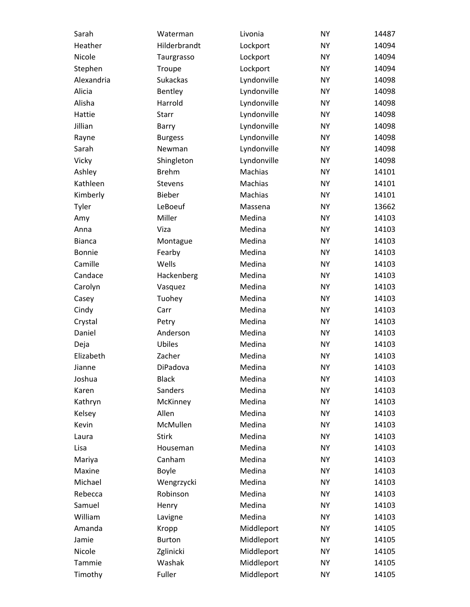| Sarah         | Waterman       | Livonia     | <b>NY</b> | 14487 |
|---------------|----------------|-------------|-----------|-------|
| Heather       | Hilderbrandt   | Lockport    | <b>NY</b> | 14094 |
| Nicole        | Taurgrasso     | Lockport    | <b>NY</b> | 14094 |
| Stephen       | Troupe         | Lockport    | <b>NY</b> | 14094 |
| Alexandria    | Sukackas       | Lyndonville | <b>NY</b> | 14098 |
| Alicia        | Bentley        | Lyndonville | <b>NY</b> | 14098 |
| Alisha        | Harrold        | Lyndonville | <b>NY</b> | 14098 |
| Hattie        | Starr          | Lyndonville | <b>NY</b> | 14098 |
| Jillian       | Barry          | Lyndonville | <b>NY</b> | 14098 |
| Rayne         | <b>Burgess</b> | Lyndonville | <b>NY</b> | 14098 |
| Sarah         | Newman         | Lyndonville | <b>NY</b> | 14098 |
| Vicky         | Shingleton     | Lyndonville | <b>NY</b> | 14098 |
| Ashley        | <b>Brehm</b>   | Machias     | <b>NY</b> | 14101 |
| Kathleen      | Stevens        | Machias     | <b>NY</b> | 14101 |
| Kimberly      | Bieber         | Machias     | <b>NY</b> | 14101 |
| Tyler         | LeBoeuf        | Massena     | <b>NY</b> | 13662 |
| Amy           | Miller         | Medina      | <b>NY</b> | 14103 |
| Anna          | Viza           | Medina      | <b>NY</b> | 14103 |
| <b>Bianca</b> | Montague       | Medina      | <b>NY</b> | 14103 |
| Bonnie        | Fearby         | Medina      | <b>NY</b> | 14103 |
| Camille       | Wells          | Medina      | <b>NY</b> | 14103 |
| Candace       | Hackenberg     | Medina      | <b>NY</b> | 14103 |
| Carolyn       | Vasquez        | Medina      | <b>NY</b> | 14103 |
| Casey         | Tuohey         | Medina      | <b>NY</b> | 14103 |
| Cindy         | Carr           | Medina      | <b>NY</b> | 14103 |
| Crystal       | Petry          | Medina      | <b>NY</b> | 14103 |
| Daniel        | Anderson       | Medina      | <b>NY</b> | 14103 |
| Deja          | Ubiles         | Medina      | <b>NY</b> | 14103 |
| Elizabeth     | Zacher         | Medina      | <b>NY</b> | 14103 |
| Jianne        | DiPadova       | Medina      | <b>NY</b> | 14103 |
| Joshua        | <b>Black</b>   | Medina      | <b>NY</b> | 14103 |
| Karen         | Sanders        | Medina      | <b>NY</b> | 14103 |
| Kathryn       | McKinney       | Medina      | <b>NY</b> | 14103 |
| Kelsey        | Allen          | Medina      | <b>NY</b> | 14103 |
| Kevin         | McMullen       | Medina      | <b>NY</b> | 14103 |
| Laura         | <b>Stirk</b>   | Medina      | <b>NY</b> | 14103 |
| Lisa          | Houseman       | Medina      | <b>NY</b> | 14103 |
| Mariya        | Canham         | Medina      | <b>NY</b> | 14103 |
| Maxine        | Boyle          | Medina      | <b>NY</b> | 14103 |
| Michael       | Wengrzycki     | Medina      | <b>NY</b> | 14103 |
| Rebecca       | Robinson       | Medina      | <b>NY</b> | 14103 |
| Samuel        | Henry          | Medina      | <b>NY</b> | 14103 |
| William       | Lavigne        | Medina      | <b>NY</b> | 14103 |
| Amanda        | Kropp          | Middleport  | <b>NY</b> | 14105 |
| Jamie         | <b>Burton</b>  | Middleport  | <b>NY</b> | 14105 |
| Nicole        | Zglinicki      | Middleport  | <b>NY</b> | 14105 |
| Tammie        | Washak         | Middleport  | <b>NY</b> | 14105 |
| Timothy       | Fuller         | Middleport  | <b>NY</b> | 14105 |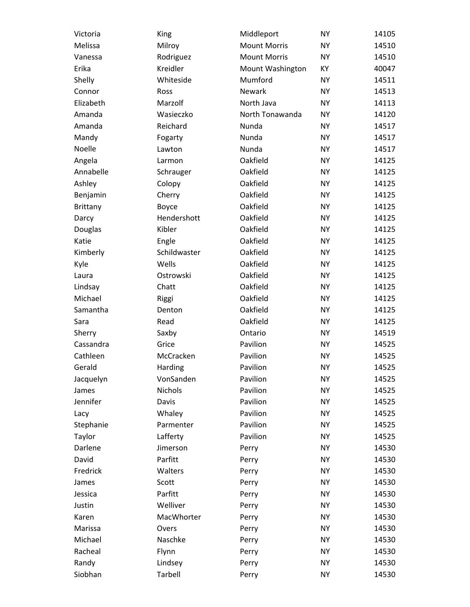| Victoria        | King         | Middleport          | <b>NY</b> | 14105 |
|-----------------|--------------|---------------------|-----------|-------|
| Melissa         | Milroy       | <b>Mount Morris</b> | <b>NY</b> | 14510 |
| Vanessa         | Rodriguez    | <b>Mount Morris</b> | <b>NY</b> | 14510 |
| Erika           | Kreidler     | Mount Washington    | KY        | 40047 |
| Shelly          | Whiteside    | Mumford             | <b>NY</b> | 14511 |
| Connor          | Ross         | Newark              | <b>NY</b> | 14513 |
| Elizabeth       | Marzolf      | North Java          | <b>NY</b> | 14113 |
| Amanda          | Wasieczko    | North Tonawanda     | <b>NY</b> | 14120 |
| Amanda          | Reichard     | Nunda               | <b>NY</b> | 14517 |
| Mandy           | Fogarty      | Nunda               | <b>NY</b> | 14517 |
| Noelle          | Lawton       | Nunda               | <b>NY</b> | 14517 |
| Angela          | Larmon       | Oakfield            | <b>NY</b> | 14125 |
| Annabelle       | Schrauger    | Oakfield            | <b>NY</b> | 14125 |
| Ashley          | Colopy       | Oakfield            | <b>NY</b> | 14125 |
| Benjamin        | Cherry       | Oakfield            | <b>NY</b> | 14125 |
| <b>Brittany</b> | Boyce        | Oakfield            | <b>NY</b> | 14125 |
| Darcy           | Hendershott  | Oakfield            | <b>NY</b> | 14125 |
| Douglas         | Kibler       | Oakfield            | <b>NY</b> | 14125 |
| Katie           | Engle        | Oakfield            | <b>NY</b> | 14125 |
| Kimberly        | Schildwaster | Oakfield            | <b>NY</b> | 14125 |
| Kyle            | Wells        | Oakfield            | <b>NY</b> | 14125 |
| Laura           | Ostrowski    | Oakfield            | <b>NY</b> | 14125 |
| Lindsay         | Chatt        | Oakfield            | <b>NY</b> | 14125 |
| Michael         | Riggi        | Oakfield            | <b>NY</b> | 14125 |
| Samantha        | Denton       | Oakfield            | <b>NY</b> | 14125 |
| Sara            | Read         | Oakfield            | <b>NY</b> | 14125 |
| Sherry          | Saxby        | Ontario             | <b>NY</b> | 14519 |
| Cassandra       | Grice        | Pavilion            | <b>NY</b> | 14525 |
| Cathleen        | McCracken    | Pavilion            | <b>NY</b> | 14525 |
| Gerald          | Harding      | Pavilion            | <b>NY</b> | 14525 |
| Jacquelyn       | VonSanden    | Pavilion            | <b>NY</b> | 14525 |
| James           | Nichols      | Pavilion            | <b>NY</b> | 14525 |
| Jennifer        | Davis        | Pavilion            | <b>NY</b> | 14525 |
| Lacy            | Whaley       | Pavilion            | <b>NY</b> | 14525 |
| Stephanie       | Parmenter    | Pavilion            | <b>NY</b> | 14525 |
| Taylor          | Lafferty     | Pavilion            | <b>NY</b> | 14525 |
| Darlene         | Jimerson     | Perry               | <b>NY</b> | 14530 |
| David           | Parfitt      | Perry               | <b>NY</b> | 14530 |
| Fredrick        | Walters      | Perry               | <b>NY</b> | 14530 |
| James           | Scott        | Perry               | <b>NY</b> | 14530 |
| Jessica         | Parfitt      | Perry               | <b>NY</b> | 14530 |
| Justin          | Welliver     | Perry               | <b>NY</b> | 14530 |
| Karen           | MacWhorter   | Perry               | <b>NY</b> | 14530 |
| Marissa         | Overs        | Perry               | <b>NY</b> | 14530 |
| Michael         | Naschke      | Perry               | <b>NY</b> | 14530 |
| Racheal         | Flynn        | Perry               | <b>NY</b> | 14530 |
| Randy           | Lindsey      | Perry               | <b>NY</b> | 14530 |
| Siobhan         | Tarbell      | Perry               | <b>NY</b> | 14530 |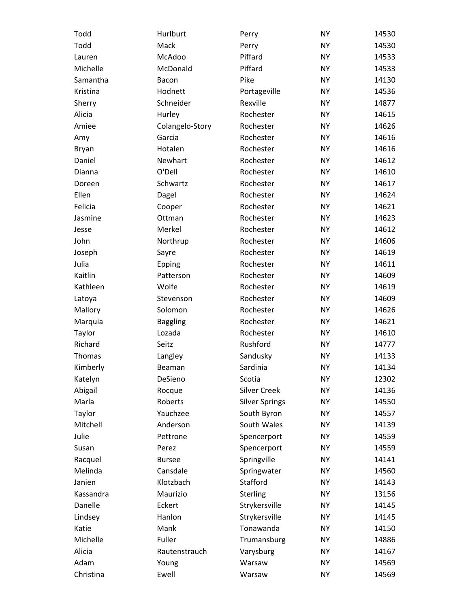| Todd      | Hurlburt        | Perry                 | <b>NY</b> | 14530 |
|-----------|-----------------|-----------------------|-----------|-------|
| Todd      | Mack            | Perry                 | <b>NY</b> | 14530 |
| Lauren    | McAdoo          | Piffard               | <b>NY</b> | 14533 |
| Michelle  | McDonald        | Piffard               | <b>NY</b> | 14533 |
| Samantha  | Bacon           | Pike                  | <b>NY</b> | 14130 |
| Kristina  | Hodnett         | Portageville          | <b>NY</b> | 14536 |
| Sherry    | Schneider       | Rexville              | <b>NY</b> | 14877 |
| Alicia    | Hurley          | Rochester             | <b>NY</b> | 14615 |
| Amiee     | Colangelo-Story | Rochester             | <b>NY</b> | 14626 |
| Amy       | Garcia          | Rochester             | <b>NY</b> | 14616 |
| Bryan     | Hotalen         | Rochester             | <b>NY</b> | 14616 |
| Daniel    | Newhart         | Rochester             | <b>NY</b> | 14612 |
| Dianna    | O'Dell          | Rochester             | <b>NY</b> | 14610 |
| Doreen    | Schwartz        | Rochester             | <b>NY</b> | 14617 |
| Ellen     | Dagel           | Rochester             | <b>NY</b> | 14624 |
| Felicia   | Cooper          | Rochester             | <b>NY</b> | 14621 |
| Jasmine   | Ottman          | Rochester             | <b>NY</b> | 14623 |
| Jesse     | Merkel          | Rochester             | <b>NY</b> | 14612 |
| John      | Northrup        | Rochester             | <b>NY</b> | 14606 |
| Joseph    | Sayre           | Rochester             | <b>NY</b> | 14619 |
| Julia     | Epping          | Rochester             | <b>NY</b> | 14611 |
| Kaitlin   | Patterson       | Rochester             | <b>NY</b> | 14609 |
| Kathleen  | Wolfe           | Rochester             | <b>NY</b> | 14619 |
| Latoya    | Stevenson       | Rochester             | <b>NY</b> | 14609 |
| Mallory   | Solomon         | Rochester             | <b>NY</b> | 14626 |
| Marquia   | <b>Baggling</b> | Rochester             | <b>NY</b> | 14621 |
| Taylor    | Lozada          | Rochester             | <b>NY</b> | 14610 |
| Richard   | Seitz           | Rushford              | <b>NY</b> | 14777 |
| Thomas    | Langley         | Sandusky              | <b>NY</b> | 14133 |
| Kimberly  | Beaman          | Sardinia              | <b>NY</b> | 14134 |
| Katelyn   | DeSieno         | Scotia                | <b>NY</b> | 12302 |
| Abigail   | Rocque          | <b>Silver Creek</b>   | <b>NY</b> | 14136 |
| Marla     | Roberts         | <b>Silver Springs</b> | <b>NY</b> | 14550 |
| Taylor    | Yauchzee        | South Byron           | <b>NY</b> | 14557 |
| Mitchell  | Anderson        | South Wales           | <b>NY</b> | 14139 |
| Julie     | Pettrone        | Spencerport           | <b>NY</b> | 14559 |
| Susan     | Perez           | Spencerport           | <b>NY</b> | 14559 |
| Racquel   | <b>Bursee</b>   | Springville           | <b>NY</b> | 14141 |
| Melinda   | Cansdale        | Springwater           | <b>NY</b> | 14560 |
| Janien    | Klotzbach       | Stafford              | <b>NY</b> | 14143 |
| Kassandra | Maurizio        | Sterling              | <b>NY</b> | 13156 |
| Danelle   | Eckert          | Strykersville         | <b>NY</b> | 14145 |
| Lindsey   | Hanlon          | Strykersville         | <b>NY</b> | 14145 |
| Katie     | Mank            | Tonawanda             | <b>NY</b> | 14150 |
| Michelle  | Fuller          | Trumansburg           | <b>NY</b> | 14886 |
| Alicia    | Rautenstrauch   | Varysburg             | <b>NY</b> | 14167 |
| Adam      |                 | Warsaw                | <b>NY</b> |       |
|           | Young           |                       |           | 14569 |
| Christina | Ewell           | Warsaw                | <b>NY</b> | 14569 |